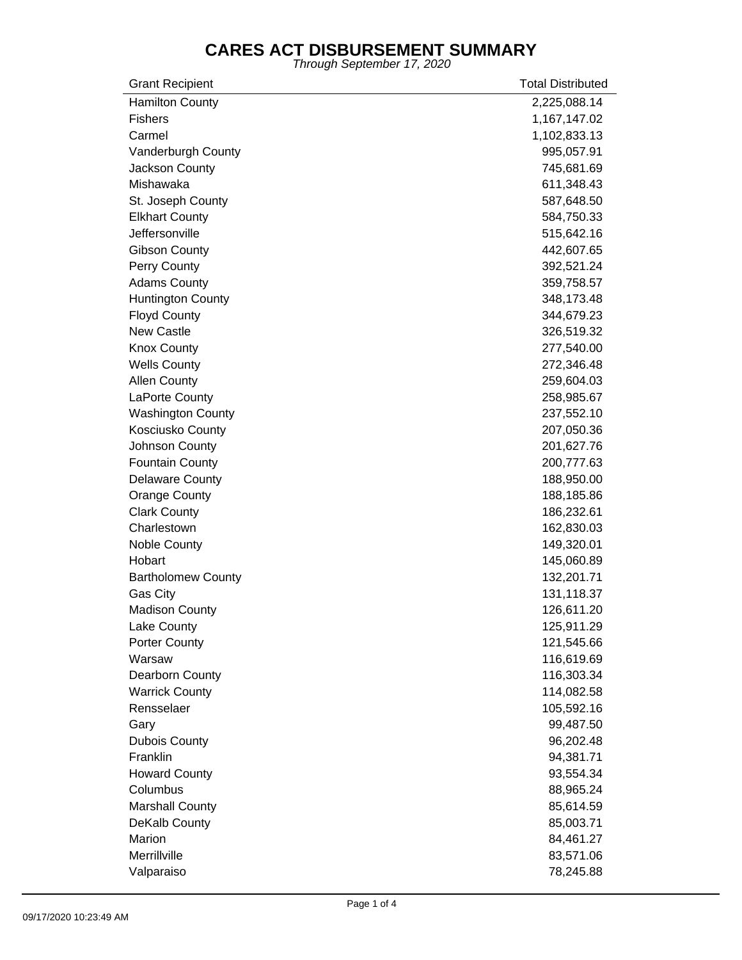| <b>Grant Recipient</b>    | <b>Total Distributed</b> |
|---------------------------|--------------------------|
| <b>Hamilton County</b>    | 2,225,088.14             |
| <b>Fishers</b>            | 1,167,147.02             |
| Carmel                    | 1,102,833.13             |
| Vanderburgh County        | 995,057.91               |
| Jackson County            | 745,681.69               |
| Mishawaka                 | 611,348.43               |
| St. Joseph County         | 587,648.50               |
| <b>Elkhart County</b>     | 584,750.33               |
| Jeffersonville            | 515,642.16               |
| <b>Gibson County</b>      | 442,607.65               |
| Perry County              | 392,521.24               |
| <b>Adams County</b>       | 359,758.57               |
| <b>Huntington County</b>  | 348,173.48               |
| <b>Floyd County</b>       | 344,679.23               |
| <b>New Castle</b>         | 326,519.32               |
| <b>Knox County</b>        | 277,540.00               |
| <b>Wells County</b>       | 272,346.48               |
| <b>Allen County</b>       | 259,604.03               |
| LaPorte County            | 258,985.67               |
| <b>Washington County</b>  | 237,552.10               |
| Kosciusko County          | 207,050.36               |
| Johnson County            | 201,627.76               |
| <b>Fountain County</b>    | 200,777.63               |
| <b>Delaware County</b>    | 188,950.00               |
| <b>Orange County</b>      | 188,185.86               |
| <b>Clark County</b>       | 186,232.61               |
| Charlestown               | 162,830.03               |
| Noble County              | 149,320.01               |
| Hobart                    | 145,060.89               |
| <b>Bartholomew County</b> | 132,201.71               |
| Gas City                  | 131,118.37               |
| <b>Madison County</b>     | 126,611.20               |
| Lake County               | 125,911.29               |
| Porter County             | 121,545.66               |
| Warsaw                    | 116,619.69               |
| Dearborn County           | 116,303.34               |
| <b>Warrick County</b>     | 114,082.58               |
| Rensselaer                | 105,592.16               |
| Gary                      | 99,487.50                |
| <b>Dubois County</b>      | 96,202.48                |
| Franklin                  | 94,381.71                |
| <b>Howard County</b>      | 93,554.34                |
| Columbus                  | 88,965.24                |
| <b>Marshall County</b>    | 85,614.59                |
| DeKalb County             | 85,003.71                |
| Marion                    | 84,461.27                |
| Merrillville              | 83,571.06                |
| Valparaiso                | 78,245.88                |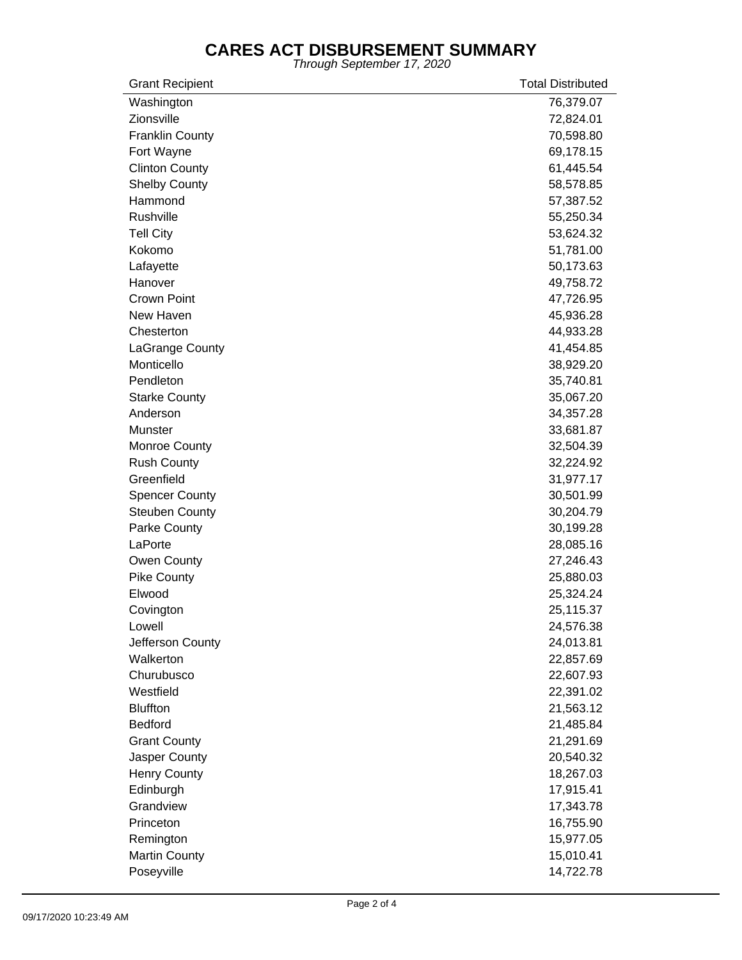| <b>Grant Recipient</b> | <b>Total Distributed</b> |
|------------------------|--------------------------|
| Washington             | 76,379.07                |
| Zionsville             | 72,824.01                |
| <b>Franklin County</b> | 70,598.80                |
| Fort Wayne             | 69,178.15                |
| <b>Clinton County</b>  | 61,445.54                |
| <b>Shelby County</b>   | 58,578.85                |
| Hammond                | 57,387.52                |
| Rushville              | 55,250.34                |
| <b>Tell City</b>       | 53,624.32                |
| Kokomo                 | 51,781.00                |
| Lafayette              | 50,173.63                |
| Hanover                | 49,758.72                |
| Crown Point            | 47,726.95                |
| New Haven              | 45,936.28                |
| Chesterton             | 44,933.28                |
| LaGrange County        | 41,454.85                |
| Monticello             | 38,929.20                |
| Pendleton              | 35,740.81                |
| <b>Starke County</b>   | 35,067.20                |
| Anderson               | 34,357.28                |
| <b>Munster</b>         | 33,681.87                |
| Monroe County          | 32,504.39                |
| <b>Rush County</b>     | 32,224.92                |
| Greenfield             | 31,977.17                |
| <b>Spencer County</b>  | 30,501.99                |
| <b>Steuben County</b>  | 30,204.79                |
| Parke County           | 30,199.28                |
| LaPorte                | 28,085.16                |
| Owen County            | 27,246.43                |
| <b>Pike County</b>     | 25,880.03                |
| Elwood                 | 25,324.24                |
| Covington              | 25,115.37                |
| Lowell                 | 24,576.38                |
| Jefferson County       | 24,013.81                |
| Walkerton              | 22,857.69                |
| Churubusco             | 22,607.93                |
| Westfield              | 22,391.02                |
| <b>Bluffton</b>        | 21,563.12                |
| <b>Bedford</b>         | 21,485.84                |
| <b>Grant County</b>    | 21,291.69                |
| Jasper County          | 20,540.32                |
| <b>Henry County</b>    | 18,267.03                |
| Edinburgh              | 17,915.41                |
| Grandview              | 17,343.78                |
| Princeton              | 16,755.90                |
| Remington              | 15,977.05                |
| <b>Martin County</b>   | 15,010.41                |
| Poseyville             | 14,722.78                |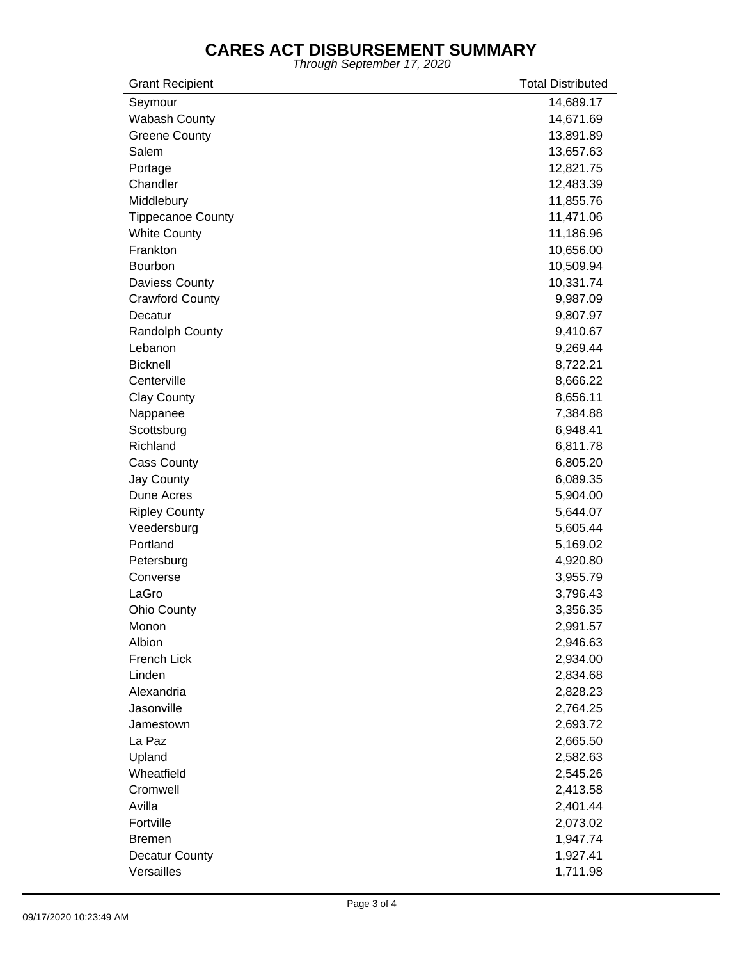| <b>Grant Recipient</b>   | <b>Total Distributed</b> |
|--------------------------|--------------------------|
| Seymour                  | 14,689.17                |
| Wabash County            | 14,671.69                |
| <b>Greene County</b>     | 13,891.89                |
| Salem                    | 13,657.63                |
| Portage                  | 12,821.75                |
| Chandler                 | 12,483.39                |
| Middlebury               | 11,855.76                |
| <b>Tippecanoe County</b> | 11,471.06                |
| <b>White County</b>      | 11,186.96                |
| Frankton                 | 10,656.00                |
| Bourbon                  | 10,509.94                |
| <b>Daviess County</b>    | 10,331.74                |
| <b>Crawford County</b>   | 9,987.09                 |
| Decatur                  | 9,807.97                 |
| Randolph County          | 9,410.67                 |
| Lebanon                  | 9,269.44                 |
| <b>Bicknell</b>          | 8,722.21                 |
| Centerville              | 8,666.22                 |
| <b>Clay County</b>       | 8,656.11                 |
| Nappanee                 | 7,384.88                 |
| Scottsburg               | 6,948.41                 |
| Richland                 | 6,811.78                 |
| <b>Cass County</b>       | 6,805.20                 |
| Jay County               | 6,089.35                 |
| Dune Acres               | 5,904.00                 |
| <b>Ripley County</b>     | 5,644.07                 |
| Veedersburg              | 5,605.44                 |
| Portland                 | 5,169.02                 |
| Petersburg               | 4,920.80                 |
| Converse                 | 3,955.79                 |
| LaGro                    | 3,796.43                 |
| <b>Ohio County</b>       | 3,356.35                 |
| Monon                    | 2,991.57                 |
| Albion                   | 2,946.63                 |
| French Lick              | 2,934.00                 |
| Linden                   | 2,834.68                 |
| Alexandria               | 2,828.23                 |
| Jasonville               | 2,764.25                 |
| Jamestown                | 2,693.72                 |
| La Paz                   | 2,665.50                 |
| Upland                   | 2,582.63                 |
| Wheatfield               | 2,545.26                 |
| Cromwell                 | 2,413.58                 |
| Avilla                   | 2,401.44                 |
| Fortville                | 2,073.02                 |
| <b>Bremen</b>            | 1,947.74                 |
| <b>Decatur County</b>    | 1,927.41                 |
| Versailles               | 1,711.98                 |